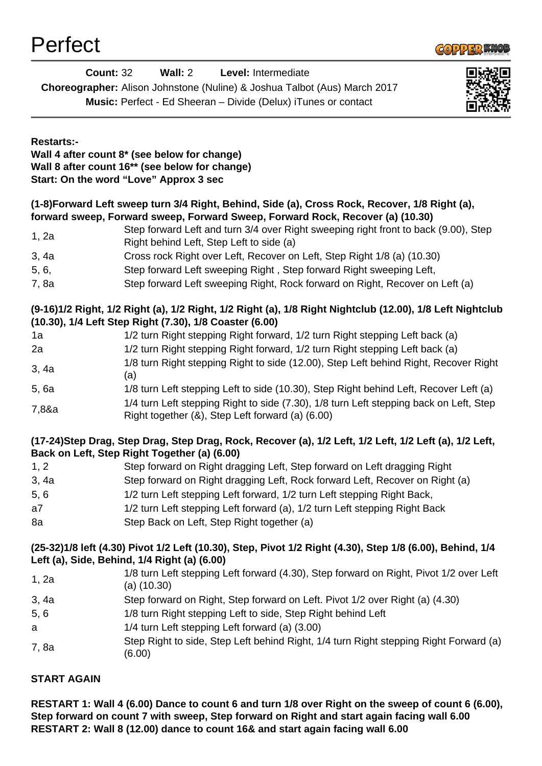

| LAIIAN            |                                                                                                                                                                                                   | <b>COPPER SNO</b> |
|-------------------|---------------------------------------------------------------------------------------------------------------------------------------------------------------------------------------------------|-------------------|
|                   | <b>Count: 32</b><br>Wall: 2<br>Level: Intermediate<br>Choreographer: Alison Johnstone (Nuline) & Joshua Talbot (Aus) March 2017<br>Music: Perfect - Ed Sheeran - Divide (Delux) iTunes or contact |                   |
| <b>Restarts:-</b> | Wall 4 after count 8* (see below for change)<br>Wall 8 after count 16 <sup>**</sup> (see below for change)<br>Start: On the word "Love" Approx 3 sec                                              |                   |
|                   | (1-8)Forward Left sweep turn 3/4 Right, Behind, Side (a), Cross Rock, Recover, 1/8 Right (a),<br>forward sweep, Forward sweep, Forward Sweep, Forward Rock, Recover (a) (10.30)                   |                   |
| 1, 2a             | Step forward Left and turn 3/4 over Right sweeping right front to back (9.00), Step<br>Right behind Left, Step Left to side (a)                                                                   |                   |
| 3, 4a             | Cross rock Right over Left, Recover on Left, Step Right 1/8 (a) (10.30)                                                                                                                           |                   |
| 5, 6,             | Step forward Left sweeping Right, Step forward Right sweeping Left,                                                                                                                               |                   |
| 7, 8a             | Step forward Left sweeping Right, Rock forward on Right, Recover on Left (a)                                                                                                                      |                   |
|                   | (9-16)1/2 Right, 1/2 Right (a), 1/2 Right, 1/2 Right (a), 1/8 Right Nightclub (12.00), 1/8 Left Nightclub<br>(10.30), 1/4 Left Step Right (7.30), 1/8 Coaster (6.00)                              |                   |
| 1a                | 1/2 turn Right stepping Right forward, 1/2 turn Right stepping Left back (a)                                                                                                                      |                   |
| 2a                | 1/2 turn Right stepping Right forward, 1/2 turn Right stepping Left back (a)                                                                                                                      |                   |
| 3, 4a             | 1/8 turn Right stepping Right to side (12.00), Step Left behind Right, Recover Right<br>(a)                                                                                                       |                   |
| 5,6a              | 1/8 turn Left stepping Left to side (10.30), Step Right behind Left, Recover Left (a)                                                                                                             |                   |
| 7,8&a             | 1/4 turn Left stepping Right to side (7.30), 1/8 turn Left stepping back on Left, Step<br>Right together (&), Step Left forward (a) (6.00)                                                        |                   |
|                   | (17-24)Step Drag, Step Drag, Step Drag, Rock, Recover (a), 1/2 Left, 1/2 Left, 1/2 Left (a), 1/2 Left,<br>Back on Left, Step Right Together (a) (6.00)                                            |                   |
| 1, 2              | Step forward on Right dragging Left, Step forward on Left dragging Right                                                                                                                          |                   |
| 3, 4a             | Step forward on Right dragging Left, Rock forward Left, Recover on Right (a)                                                                                                                      |                   |
| 5,6               | 1/2 turn Left stepping Left forward, 1/2 turn Left stepping Right Back,                                                                                                                           |                   |
| a7                | 1/2 turn Left stepping Left forward (a), 1/2 turn Left stepping Right Back                                                                                                                        |                   |
| 8a                | Step Back on Left, Step Right together (a)                                                                                                                                                        |                   |
|                   | (25-32)1/8 left (4.30) Pivot 1/2 Left (10.30), Step, Pivot 1/2 Right (4.30), Step 1/8 (6.00), Behind, 1/4<br>Left (a), Side, Behind, 1/4 Right (a) (6.00)                                         |                   |
| 1, 2a             | 1/8 turn Left stepping Left forward (4.30), Step forward on Right, Pivot 1/2 over Left<br>$(a)$ (10.30)                                                                                           |                   |
| 3, 4a             | Step forward on Right, Step forward on Left. Pivot 1/2 over Right (a) (4.30)                                                                                                                      |                   |
| 5,6               | 1/8 turn Right stepping Left to side, Step Right behind Left                                                                                                                                      |                   |
| a                 | 1/4 turn Left stepping Left forward (a) (3.00)                                                                                                                                                    |                   |
| 7, 8a             | Step Right to side, Step Left behind Right, 1/4 turn Right stepping Right Forward (a)<br>(6.00)                                                                                                   |                   |
| START AGAIN       |                                                                                                                                                                                                   |                   |

**RESTART 1: Wall 4 (6.00) Dance to count 6 and turn 1/8 over Right on the sweep of count 6 (6.00), Step forward on count 7 with sweep, Step forward on Right and start again facing wall 6.00 RESTART 2: Wall 8 (12.00) dance to count 16& and start again facing wall 6.00**